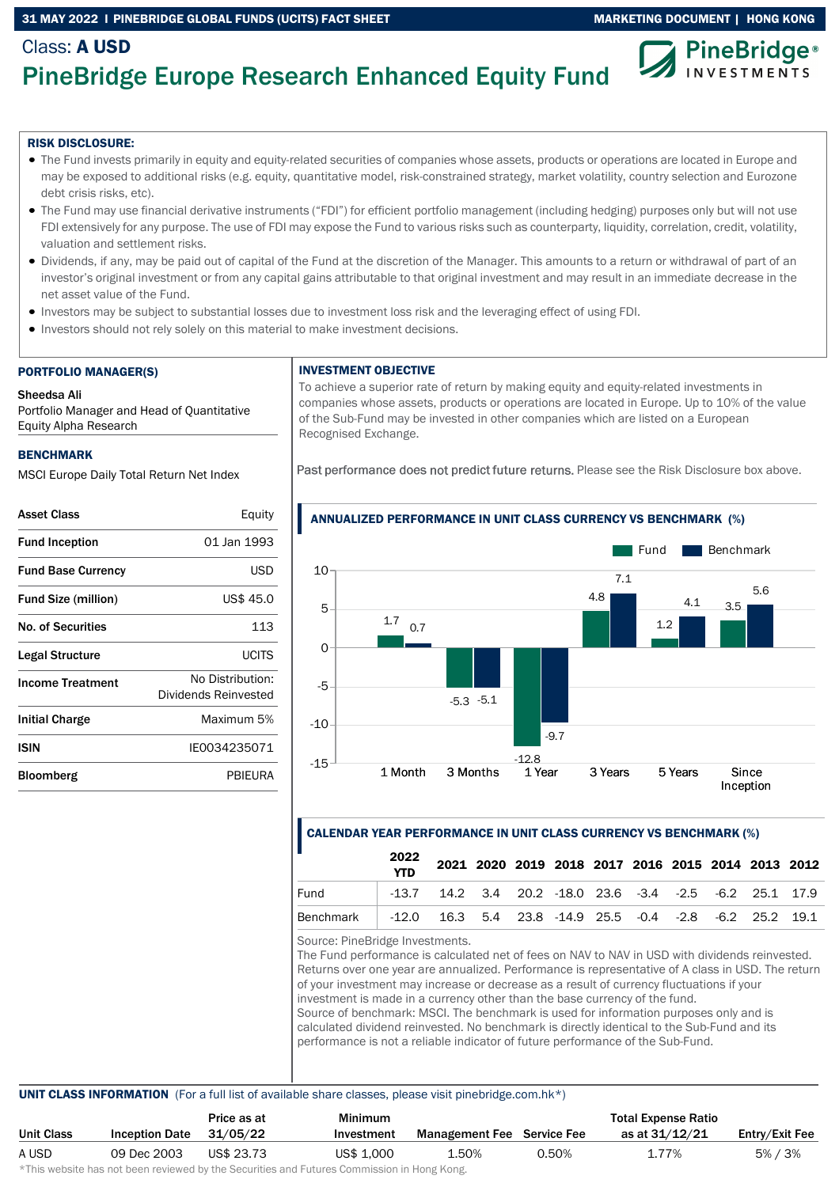## 31 MAY 2022 I PINEBRIDGE GLOBAL FUNDS (UCITS) FACT SHEET MARKETING MARKETING DOCUMENT | HONG KONG



# PineBridge Europe Research Enhanced Equity Fund

### RISK DISCLOSURE:

Class: A USD

- The Fund invests primarily in equity and equity-related securities of companies whose assets, products or operations are located in Europe and may be exposed to additional risks (e.g. equity, quantitative model, risk-constrained strategy, market volatility, country selection and Eurozone debt crisis risks, etc).
- The Fund may use financial derivative instruments ("FDI") for efficient portfolio management (including hedging) purposes only but will not use FDI extensively for any purpose. The use of FDI may expose the Fund to various risks such as counterparty, liquidity, correlation, credit, volatility, valuation and settlement risks.
- Dividends, if any, may be paid out of capital of the Fund at the discretion of the Manager. This amounts to a return or withdrawal of part of an investor's original investment or from any capital gains attributable to that original investment and may result in an immediate decrease in the net asset value of the Fund.
- Investors may be subject to substantial losses due to investment loss risk and the leveraging effect of using FDI.
- Investors should not rely solely on this material to make investment decisions.

### PORTFOLIO MANAGER(S)

### Sheedsa Ali

Portfolio Manager and Head of Quantitative Equity Alpha Research

### **BENCHMARK**

MSCI Europe Daily Total Return Net Index

| <b>Asset Class</b>         | Equity                                   |
|----------------------------|------------------------------------------|
| <b>Fund Inception</b>      | 01 Jan 1993                              |
| <b>Fund Base Currency</b>  | USD                                      |
| <b>Fund Size (million)</b> | US\$ 45.0                                |
| No. of Securities          | 113                                      |
| Legal Structure            | UCITS                                    |
| <b>Income Treatment</b>    | No Distribution:<br>Dividends Reinvested |
| Initial Charge             | Maximum 5%                               |
| <b>ISIN</b>                | IF0034235071                             |
| Bloomberg                  | PBIEURA                                  |
|                            |                                          |

# INVESTMENT OBJECTIVE

To achieve a superior rate of return by making equity and equity-related investments in companies whose assets, products or operations are located in Europe. Up to 10% of the value of the Sub-Fund may be invested in other companies which are listed on a European Recognised Exchange.

Past performance does not predict future returns. Please see the Risk Disclosure box above.



### ANNUALIZED PERFORMANCE IN UNIT CLASS CURRENCY VS BENCHMARK (%)

# CALENDAR YEAR PERFORMANCE IN UNIT CLASS CURRENCY VS BENCHMARK (%)

|           | 2022<br><b>YTD</b>                                                |                                                                   |  | 2021 2020 2019 2018 2017 2016 2015 2014 2013 2012 |  |  |  |
|-----------|-------------------------------------------------------------------|-------------------------------------------------------------------|--|---------------------------------------------------|--|--|--|
| Fund      |                                                                   | $-13.7$ 14.2 3.4 20.2 $-18.0$ 23.6 $-3.4$ $-2.5$ $-6.2$ 25.1 17.9 |  |                                                   |  |  |  |
| Benchmark | $-12.0$ 16.3 5.4 23.8 $-14.9$ 25.5 $-0.4$ $-2.8$ $-6.2$ 25.2 19.1 |                                                                   |  |                                                   |  |  |  |
|           |                                                                   |                                                                   |  |                                                   |  |  |  |

Source: PineBridge Investments.

The Fund performance is calculated net of fees on NAV to NAV in USD with dividends reinvested. Returns over one year are annualized. Performance is representative of A class in USD. The return of your investment may increase or decrease as a result of currency fluctuations if your investment is made in a currency other than the base currency of the fund. Source of benchmark: MSCI. The benchmark is used for information purposes only and is calculated dividend reinvested. No benchmark is directly identical to the Sub-Fund and its performance is not a reliable indicator of future performance of the Sub-Fund.

### UNIT CLASS INFORMATION (For a full list of available share classes, please visit pinebridge.com.hk\*)

|            |                       | Price as at | <b>Minimum</b> |                                   |       | <b>Total Expense Ratio</b> |                |
|------------|-----------------------|-------------|----------------|-----------------------------------|-------|----------------------------|----------------|
| Unit Class | <b>Inception Date</b> | 31/05/22    | Investment     | <b>Management Fee</b> Service Fee |       | as at 31/12/21             | Entry/Exit Fee |
| A USD      | 09 Dec 2003           | US\$ 23.73  | US\$ 1,000     | 1.50%                             | 0.50% | 1.77%                      | $5\% / 3\%$    |
|            |                       |             |                |                                   |       |                            |                |

\*This website has not been reviewed by the Securities and Futures Commission in Hong Kong.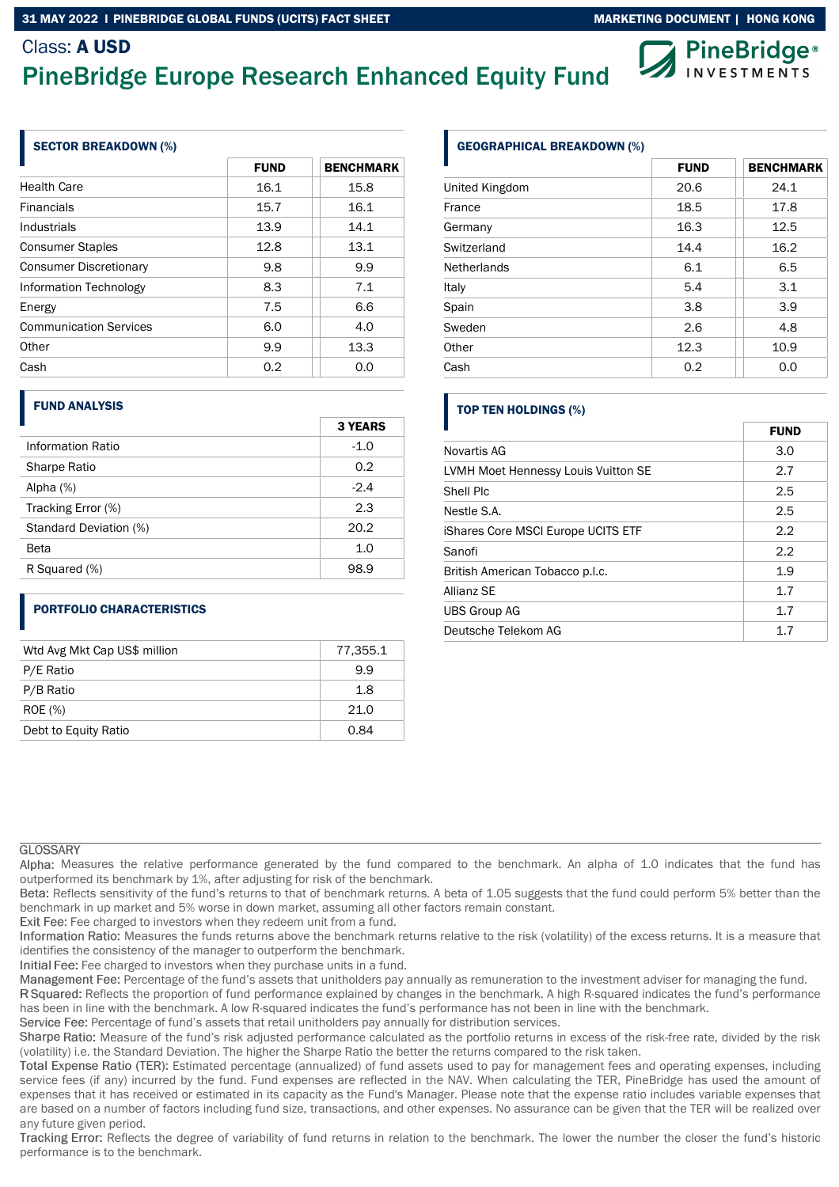# Class: A USD PineBridge Europe Research Enhanced Equity Fund



## SECTOR BREAKDOWN (%)

|                               | <b>FUND</b> | <b>BENCHMARK</b> |
|-------------------------------|-------------|------------------|
| <b>Health Care</b>            | 16.1        | 15.8             |
| <b>Financials</b>             | 15.7        | 16.1             |
| Industrials                   | 13.9        | 14.1             |
| <b>Consumer Staples</b>       | 12.8        | 13.1             |
| <b>Consumer Discretionary</b> | 9.8         | 9.9              |
| Information Technology        | 8.3         | 7.1              |
| Energy                        | 7.5         | 6.6              |
| <b>Communication Services</b> | 6.0         | 4.0              |
| Other                         | 9.9         | 13.3             |
| Cash                          | 0.2         | 0.0              |

## FUND ANALYSIS

|                        | <b>3 YEARS</b> |
|------------------------|----------------|
| Information Ratio      | $-1.0$         |
| Sharpe Ratio           | 0.2            |
| Alpha $(%)$            | $-2.4$         |
| Tracking Error (%)     | 2.3            |
| Standard Deviation (%) | 20.2           |
| Beta                   | 1.0            |
| R Squared (%)          | 98.9           |

# PORTFOLIO CHARACTERISTICS

| Wtd Avg Mkt Cap US\$ million | 77.355.1 |
|------------------------------|----------|
| P/E Ratio                    | 9.9      |
| P/B Ratio                    | 1.8      |
| <b>ROE</b> (%)               | 21.0     |
| Debt to Equity Ratio         | 0.84     |

# GEOGRAPHICAL BREAKDOWN (%)

|                    | <b>FUND</b> | <b>BENCHMARK</b> |
|--------------------|-------------|------------------|
| United Kingdom     | 20.6        | 24.1             |
| France             | 18.5        | 17.8             |
| Germany            | 16.3        | 12.5             |
| Switzerland        | 14.4        | 16.2             |
| <b>Netherlands</b> | 6.1         | 6.5              |
| Italy              | 5.4         | 3.1              |
| Spain              | 3.8         | 3.9              |
| Sweden             | 2.6         | 4.8              |
| Other              | 12.3        | 10.9             |
| Cash               | 0.2         | 0.0              |

# TOP TEN HOLDINGS (%)

|                                     | <b>FUND</b> |
|-------------------------------------|-------------|
| Novartis AG                         | 3.0         |
| LVMH Moet Hennessy Louis Vuitton SE | 2.7         |
| Shell Plc                           | 2.5         |
| Nestle S.A.                         | 2.5         |
| iShares Core MSCI Europe UCITS ETF  | 2.2         |
| Sanofi                              | 2.2         |
| British American Tobacco p.l.c.     | 1.9         |
| Allianz SF                          | 1.7         |
| <b>UBS Group AG</b>                 | 1.7         |
| Deutsche Telekom AG                 | 1.7         |

### **GLOSSARY**

Alpha: Measures the relative performance generated by the fund compared to the benchmark. An alpha of 1.0 indicates that the fund has outperformed its benchmark by 1%, after adjusting for risk of the benchmark.

Beta: Reflects sensitivity of the fund's returns to that of benchmark returns. A beta of 1.05 suggests that the fund could perform 5% better than the benchmark in up market and 5% worse in down market, assuming all other factors remain constant.

Exit Fee: Fee charged to investors when they redeem unit from a fund.

Information Ratio: Measures the funds returns above the benchmark returns relative to the risk (volatility) of the excess returns. It is a measure that identifies the consistency of the manager to outperform the benchmark.

Initial Fee: Fee charged to investors when they purchase units in a fund.

Management Fee: Percentage of the fund's assets that unitholders pay annually as remuneration to the investment adviser for managing the fund.

R Squared: Reflects the proportion of fund performance explained by changes in the benchmark. A high R-squared indicates the fund's performance has been in line with the benchmark. A low R-squared indicates the fund's performance has not been in line with the benchmark.

Service Fee: Percentage of fund's assets that retail unitholders pay annually for distribution services.

Sharpe Ratio: Measure of the fund's risk adjusted performance calculated as the portfolio returns in excess of the risk-free rate, divided by the risk (volatility) i.e. the Standard Deviation. The higher the Sharpe Ratio the better the returns compared to the risk taken.

Total Expense Ratio (TER): Estimated percentage (annualized) of fund assets used to pay for management fees and operating expenses, including service fees (if any) incurred by the fund. Fund expenses are reflected in the NAV. When calculating the TER, PineBridge has used the amount of expenses that it has received or estimated in its capacity as the Fund's Manager. Please note that the expense ratio includes variable expenses that are based on a number of factors including fund size, transactions, and other expenses. No assurance can be given that the TER will be realized over any future given period.

Tracking Error: Reflects the degree of variability of fund returns in relation to the benchmark. The lower the number the closer the fund's historic performance is to the benchmark.